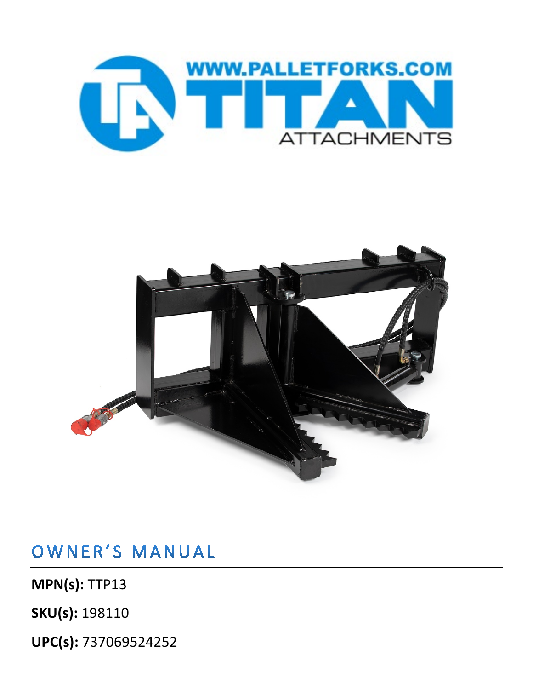



OWNER'S MANUAL

**MPN(s):** TTP13

**SKU(s):** 198110

**UPC(s):** 737069524252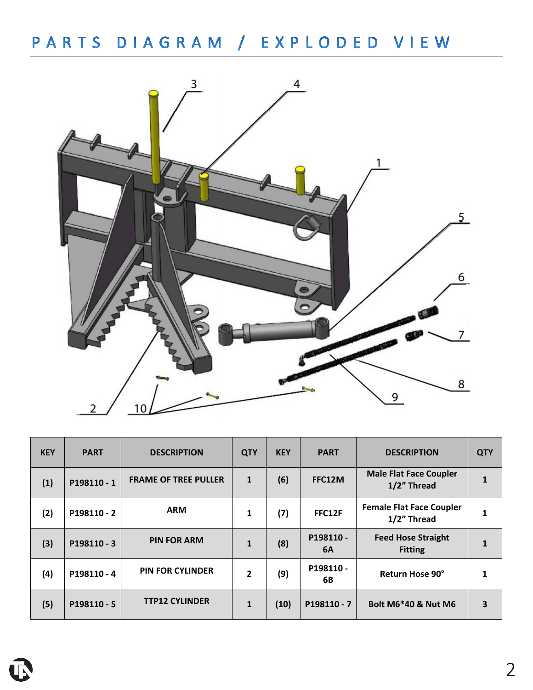## PARTS DIAGRAM / EXPLODED VIEW



| <b>KEY</b> | <b>PART</b> | <b>DESCRIPTION</b>          | <b>QTY</b>     | <b>KEY</b> | <b>PART</b>           | <b>DESCRIPTION</b>                             | <b>QTY</b> |
|------------|-------------|-----------------------------|----------------|------------|-----------------------|------------------------------------------------|------------|
| (1)        | P198110-1   | <b>FRAME OF TREE PULLER</b> | $\mathbf{1}$   | (6)        | FFC12M                | <b>Male Flat Face Coupler</b><br>1/2" Thread   |            |
| (2)        | P198110 - 2 | <b>ARM</b>                  | 1              | (7)        | FFC12F                | <b>Female Flat Face Coupler</b><br>1/2" Thread |            |
| (3)        | P198110 - 3 | <b>PIN FOR ARM</b>          | $\mathbf{1}$   | (8)        | P198110-<br><b>6A</b> | <b>Feed Hose Straight</b><br><b>Fitting</b>    |            |
| (4)        | P198110-4   | <b>PIN FOR CYLINDER</b>     | $\overline{2}$ | (9)        | P198110-<br>6B        | Return Hose 90°                                |            |
| (5)        | P198110 - 5 | <b>TTP12 CYLINDER</b>       | 1              | (10)       | P198110-7             | <b>Bolt M6*40 &amp; Nut M6</b>                 | 3          |